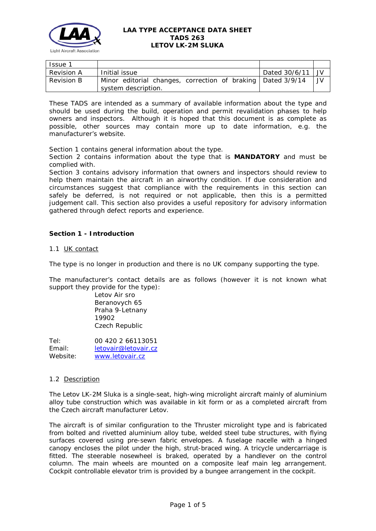

| <b>Issue 1</b>    |                                                                                      |               |      |
|-------------------|--------------------------------------------------------------------------------------|---------------|------|
| <b>Revision A</b> | Initial issue                                                                        | Dated 30/6/11 | I JV |
| Revision B        | Minor editorial changes, correction of braking   Dated 3/9/14<br>system description. |               | JV.  |

These TADS are intended as a summary of available information about the type and should be used during the build, operation and permit revalidation phases to help owners and inspectors. Although it is hoped that this document is as complete as possible, other sources may contain more up to date information, e.g. the manufacturer's website.

Section 1 contains general information about the type.

Section 2 contains information about the type that is **MANDATORY** and must be complied with.

Section 3 contains advisory information that owners and inspectors should review to help them maintain the aircraft in an airworthy condition. If due consideration and circumstances suggest that compliance with the requirements in this section can safely be deferred, is not required or not applicable, then this is a permitted judgement call. This section also provides a useful repository for advisory information gathered through defect reports and experience.

# **Section 1 - Introduction**

# 1.1 UK contact

The type is no longer in production and there is no UK company supporting the type.

The manufacturer's contact details are as follows (however it is not known what support they provide for the type):

> Letov Air sro Beranovych 65 Praha 9-Letnany 19902 Czech Republic

Tel: 00 420 2 66113051 Email: [letovair@letovair.cz](mailto:letovair@letovair.cz) Website: [www.letovair.cz](http://www.letovair.cz/)

# 1.2 Description

The Letov LK-2M Sluka is a single-seat, high-wing microlight aircraft mainly of aluminium alloy tube construction which was available in kit form or as a completed aircraft from the Czech aircraft manufacturer Letov.

The aircraft is of similar configuration to the Thruster microlight type and is fabricated from bolted and rivetted aluminium alloy tube, welded steel tube structures, with flying surfaces covered using pre-sewn fabric envelopes. A fuselage nacelle with a hinged canopy encloses the pilot under the high, strut-braced wing. A tricycle undercarriage is fitted. The steerable nosewheel is braked, operated by a handlever on the control column. The main wheels are mounted on a composite leaf main leg arrangement. Cockpit controllable elevator trim is provided by a bungee arrangement in the cockpit.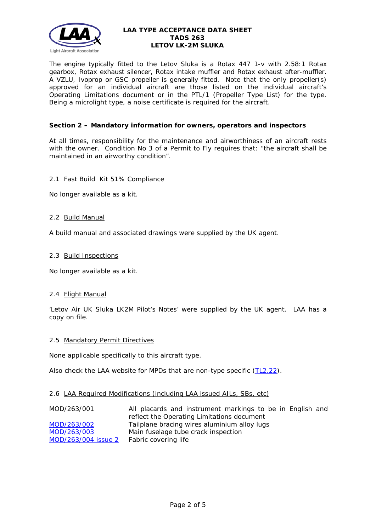

The engine typically fitted to the Letov Sluka is a Rotax 447 1-v with 2.58:1 Rotax gearbox, Rotax exhaust silencer, Rotax intake muffler and Rotax exhaust after-muffler. A VZLU, Ivoprop or GSC propeller is generally fitted. Note that the only propeller(s) approved for an individual aircraft are those listed on the individual aircraft's Operating Limitations document or in the PTL/1 (Propeller Type List) for the type. Being a microlight type, a noise certificate is required for the aircraft.

# **Section 2 – Mandatory information for owners, operators and inspectors**

At all times, responsibility for the maintenance and airworthiness of an aircraft rests with the owner. Condition No 3 of a Permit to Fly requires that: *"the aircraft shall be maintained in an airworthy condition".* 

## 2.1 Fast Build Kit 51% Compliance

No longer available as a kit.

## 2.2 Build Manual

A build manual and associated drawings were supplied by the UK agent.

## 2.3 Build Inspections

No longer available as a kit.

# 2.4 Flight Manual

'Letov Air UK Sluka LK2M Pilot's Notes' were supplied by the UK agent. LAA has a copy on file.

### 2.5 Mandatory Permit Directives

None applicable specifically to this aircraft type.

Also check the LAA website for MPDs that are non-type specific [\(TL2.22\)](http://www.lightaircraftassociation.co.uk/engineering/TechnicalLeaflets/Operating%20An%20Aircraft/TL%202.22%20non-type%20specific%20MPDs.pdf).

### 2.6 LAA Required Modifications (including LAA issued AILs, SBs, etc)

| MOD/263/001         | All placards and instrument markings to be in English and |
|---------------------|-----------------------------------------------------------|
|                     | reflect the Operating Limitations document                |
| MOD/263/002         | Tailplane bracing wires aluminium alloy lugs              |
| MOD/263/003         | Main fuselage tube crack inspection                       |
| MOD/263/004 issue 2 | Fabric covering life                                      |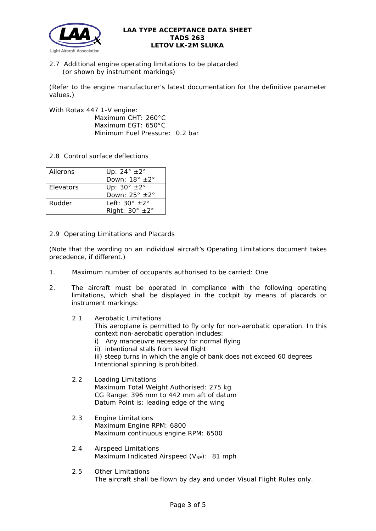

# 2.7 Additional engine operating limitations to be placarded (or shown by instrument markings)

(Refer to the engine manufacturer's latest documentation for the definitive parameter values.)

With Rotax 447 1-V engine: Maximum CHT: 260°C Maximum EGT: 650°C Minimum Fuel Pressure: 0.2 bar

# 2.8 Control surface deflections

| Ailerons         | Up: $24^\circ \pm 2^\circ$<br>Down: $18^\circ \pm 2^\circ$  |
|------------------|-------------------------------------------------------------|
| <b>Flevators</b> | Up: $30^\circ \pm 2^\circ$<br>Down: $25^\circ \pm 2^\circ$  |
| Rudder           | Left: $30^\circ + 2^\circ$<br>Right: $30^\circ \pm 2^\circ$ |

# 2.9 Operating Limitations and Placards

(Note that the wording on an individual aircraft's Operating Limitations document takes precedence, if different.)

- 1. Maximum number of occupants authorised to be carried: One
- 2. The aircraft must be operated in compliance with the following operating limitations, which shall be displayed in the cockpit by means of placards or instrument markings:
	- 2.1 Aerobatic Limitations This aeroplane is permitted to fly only for non-aerobatic operation. In this context non-aerobatic operation includes:
		- i) Any manoeuvre necessary for normal flying
		- ii) intentional stalls from level flight
		- iii) steep turns in which the angle of bank does not exceed 60 degrees Intentional spinning is prohibited.

## 2.2 Loading Limitations Maximum Total Weight Authorised: 275 kg CG Range: 396 mm to 442 mm aft of datum Datum Point is: leading edge of the wing

- 2.3 Engine Limitations Maximum Engine RPM: 6800 Maximum continuous engine RPM: 6500
- 2.4 Airspeed Limitations Maximum Indicated Airspeed ( $V_{NE}$ ): 81 mph
- 2.5 Other Limitations The aircraft shall be flown by day and under Visual Flight Rules only.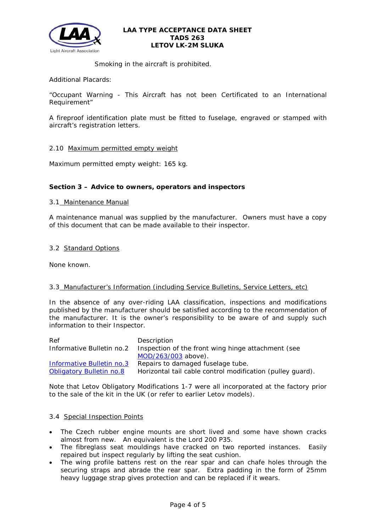

Smoking in the aircraft is prohibited.

Additional Placards:

"Occupant Warning - This Aircraft has not been Certificated to an International Requirement"

A fireproof identification plate must be fitted to fuselage, engraved or stamped with aircraft's registration letters.

# 2.10 Maximum permitted empty weight

Maximum permitted empty weight: 165 kg.

## **Section 3 – Advice to owners, operators and inspectors**

### 3.1 Maintenance Manual

A maintenance manual was supplied by the manufacturer. Owners must have a copy of this document that can be made available to their inspector.

## 3.2 Standard Options

None known.

### 3.3 Manufacturer's Information (including Service Bulletins, Service Letters, etc)

In the absence of any over-riding LAA classification, inspections and modifications published by the manufacturer should be satisfied according to the recommendation of the manufacturer. It is the owner's responsibility to be aware of and supply such information to their Inspector.

| Ref                             | Description                                                |
|---------------------------------|------------------------------------------------------------|
| Informative Bulletin no.2       | Inspection of the front wing hinge attachment (see         |
|                                 | MOD/263/003 above).                                        |
| Informative Bulletin no.3       | Repairs to damaged fuselage tube.                          |
| <b>Obligatory Bulletin no.8</b> | Horizontal tail cable control modification (pulley guard). |

Note that Letov Obligatory Modifications 1-7 were all incorporated at the factory prior to the sale of the kit in the UK (or refer to earlier Letov models).

### 3.4 Special Inspection Points

- The Czech rubber engine mounts are short lived and some have shown cracks almost from new. An equivalent is the Lord 200 P35.
- The fibreglass seat mouldings have cracked on two reported instances. Easily repaired but inspect regularly by lifting the seat cushion.
- The wing profile battens rest on the rear spar and can chafe holes through the securing straps and abrade the rear spar. Extra padding in the form of 25mm heavy luggage strap gives protection and can be replaced if it wears.